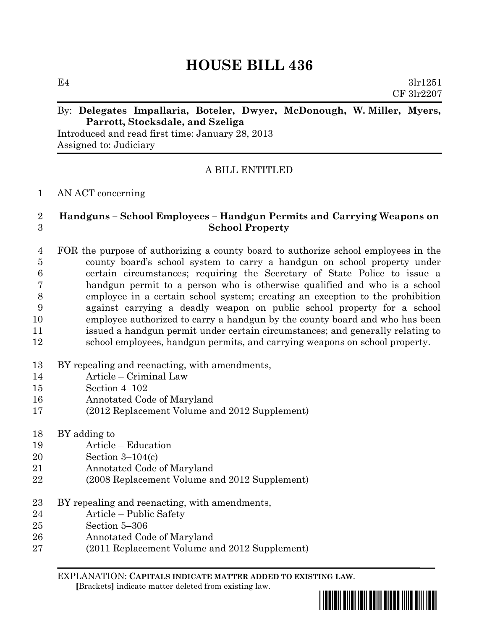# **HOUSE BILL 436**

E4  $3\ln 1251$ CF 3lr2207

### By: **Delegates Impallaria, Boteler, Dwyer, McDonough, W. Miller, Myers, Parrott, Stocksdale, and Szeliga**

Introduced and read first time: January 28, 2013 Assigned to: Judiciary

## A BILL ENTITLED

#### AN ACT concerning

### **Handguns – School Employees – Handgun Permits and Carrying Weapons on School Property**

 FOR the purpose of authorizing a county board to authorize school employees in the county board's school system to carry a handgun on school property under certain circumstances; requiring the Secretary of State Police to issue a handgun permit to a person who is otherwise qualified and who is a school employee in a certain school system; creating an exception to the prohibition against carrying a deadly weapon on public school property for a school employee authorized to carry a handgun by the county board and who has been issued a handgun permit under certain circumstances; and generally relating to school employees, handgun permits, and carrying weapons on school property.

- BY repealing and reenacting, with amendments,
- Article Criminal Law
- Section 4–102
- Annotated Code of Maryland
- (2012 Replacement Volume and 2012 Supplement)
- BY adding to
- Article Education
- Section 3–104(c)
- Annotated Code of Maryland
- (2008 Replacement Volume and 2012 Supplement)
- 23 BY repealing and reenacting, with amendments,
- Article Public Safety
- Section 5–306
- Annotated Code of Maryland
- (2011 Replacement Volume and 2012 Supplement)

EXPLANATION: **CAPITALS INDICATE MATTER ADDED TO EXISTING LAW**.  **[**Brackets**]** indicate matter deleted from existing law.

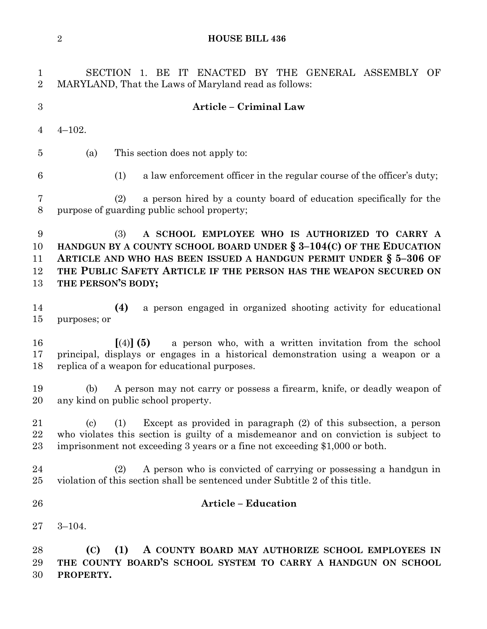**HOUSE BILL 436**

| $\mathbf 1$<br>$\overline{2}$ | SECTION 1. BE IT ENACTED BY THE GENERAL ASSEMBLY OF<br>MARYLAND, That the Laws of Maryland read as follows:                                                                                                                                                                                       |  |  |  |  |  |
|-------------------------------|---------------------------------------------------------------------------------------------------------------------------------------------------------------------------------------------------------------------------------------------------------------------------------------------------|--|--|--|--|--|
| 3                             | Article - Criminal Law                                                                                                                                                                                                                                                                            |  |  |  |  |  |
| 4                             | $4 - 102.$                                                                                                                                                                                                                                                                                        |  |  |  |  |  |
| 5                             | This section does not apply to:<br>(a)                                                                                                                                                                                                                                                            |  |  |  |  |  |
| 6                             | a law enforcement officer in the regular course of the officer's duty;<br>(1)                                                                                                                                                                                                                     |  |  |  |  |  |
| 7<br>$8\,$                    | a person hired by a county board of education specifically for the<br>(2)<br>purpose of guarding public school property;                                                                                                                                                                          |  |  |  |  |  |
| 9<br>10<br>11<br>12<br>13     | A SCHOOL EMPLOYEE WHO IS AUTHORIZED TO CARRY A<br>(3)<br>HANDGUN BY A COUNTY SCHOOL BOARD UNDER $\S 3-104(C)$ OF THE EDUCATION<br>ARTICLE AND WHO HAS BEEN ISSUED A HANDGUN PERMIT UNDER $\S$ 5-306 OF<br>THE PUBLIC SAFETY ARTICLE IF THE PERSON HAS THE WEAPON SECURED ON<br>THE PERSON'S BODY; |  |  |  |  |  |
| 14<br>15                      | (4)<br>a person engaged in organized shooting activity for educational<br>purposes; or                                                                                                                                                                                                            |  |  |  |  |  |
| 16<br>17<br>18                | $(4)$ (5)<br>a person who, with a written invitation from the school<br>principal, displays or engages in a historical demonstration using a weapon or a<br>replica of a weapon for educational purposes.                                                                                         |  |  |  |  |  |
| 19<br>20                      | A person may not carry or possess a firearm, knife, or deadly weapon of<br>(b)<br>any kind on public school property.                                                                                                                                                                             |  |  |  |  |  |
| 21<br>22<br>23                | (c) (1) Except as provided in paragraph (2) of this subsection, a person<br>who violates this section is guilty of a misdemeanor and on conviction is subject to<br>imprisonment not exceeding 3 years or a fine not exceeding \$1,000 or both.                                                   |  |  |  |  |  |
| 24<br>$25\,$                  | A person who is convicted of carrying or possessing a handgun in<br>(2)<br>violation of this section shall be sentenced under Subtitle 2 of this title.                                                                                                                                           |  |  |  |  |  |
| 26                            | <b>Article - Education</b>                                                                                                                                                                                                                                                                        |  |  |  |  |  |
| $27\,$                        | $3 - 104.$                                                                                                                                                                                                                                                                                        |  |  |  |  |  |
| 28<br>29<br>30                | (C)<br>(1)<br>A COUNTY BOARD MAY AUTHORIZE SCHOOL EMPLOYEES IN<br>THE COUNTY BOARD'S SCHOOL SYSTEM TO CARRY A HANDGUN ON SCHOOL<br>PROPERTY.                                                                                                                                                      |  |  |  |  |  |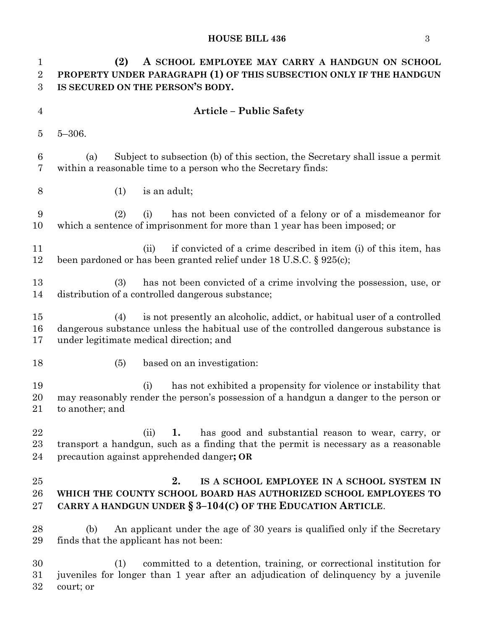#### **HOUSE BILL 436** 3

 **(2) A SCHOOL EMPLOYEE MAY CARRY A HANDGUN ON SCHOOL PROPERTY UNDER PARAGRAPH (1) OF THIS SUBSECTION ONLY IF THE HANDGUN IS SECURED ON THE PERSON'S BODY. Article – Public Safety** 5–306. (a) Subject to subsection (b) of this section, the Secretary shall issue a permit within a reasonable time to a person who the Secretary finds: (1) is an adult; (2) (i) has not been convicted of a felony or of a misdemeanor for which a sentence of imprisonment for more than 1 year has been imposed; or 11 (ii) if convicted of a crime described in item (i) of this item, has been pardoned or has been granted relief under 18 U.S.C. § 925(c); (3) has not been convicted of a crime involving the possession, use, or distribution of a controlled dangerous substance; (4) is not presently an alcoholic, addict, or habitual user of a controlled dangerous substance unless the habitual use of the controlled dangerous substance is under legitimate medical direction; and 18 (5) based on an investigation: (i) has not exhibited a propensity for violence or instability that may reasonably render the person's possession of a handgun a danger to the person or to another; and (ii) **1.** has good and substantial reason to wear, carry, or transport a handgun, such as a finding that the permit is necessary as a reasonable precaution against apprehended danger**; OR 2. IS A SCHOOL EMPLOYEE IN A SCHOOL SYSTEM IN WHICH THE COUNTY SCHOOL BOARD HAS AUTHORIZED SCHOOL EMPLOYEES TO CARRY A HANDGUN UNDER § 3–104(C) OF THE EDUCATION ARTICLE**. (b) An applicant under the age of 30 years is qualified only if the Secretary finds that the applicant has not been: (1) committed to a detention, training, or correctional institution for juveniles for longer than 1 year after an adjudication of delinquency by a juvenile court; or